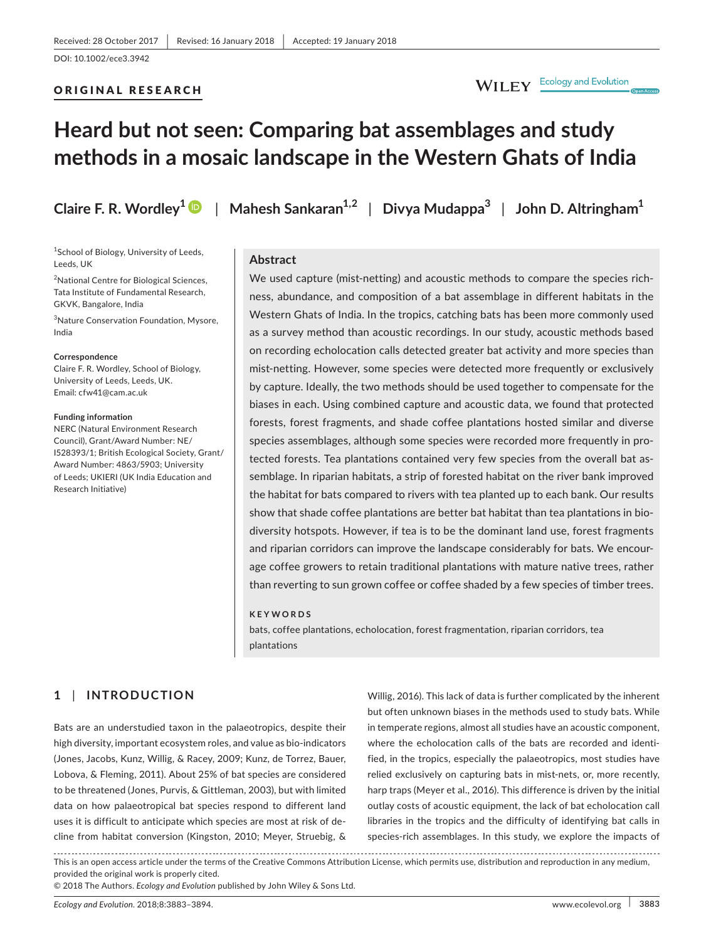## ORIGINAL RESEARCH

## WILEY Ecology and Evolution

# **Heard but not seen: Comparing bat assemblages and study methods in a mosaic landscape in the Western Ghats of India**

**Claire F. R. Wordley[1](http://orcid.org/0000-0001-6642-5544)** | **Mahesh Sankaran1,2** | **Divya Mudappa<sup>3</sup>** | **John D. Altringham<sup>1</sup>**

#### <sup>1</sup>School of Biology, University of Leeds, Leeds, UK

<sup>2</sup>National Centre for Biological Sciences, Tata Institute of Fundamental Research, GKVK, Bangalore, India

3 Nature Conservation Foundation, Mysore, India

#### **Correspondence**

Claire F. R. Wordley, School of Biology, University of Leeds, Leeds, UK. Email: [cfw41@cam.ac.uk](mailto:cfw41@cam.ac.uk)

#### **Funding information**

NERC (Natural Environment Research Council), Grant/Award Number: NE/ I528393/1; British Ecological Society, Grant/ Award Number: 4863/5903; University of Leeds; UKIERI (UK India Education and Research Initiative)

## **Abstract**

We used capture (mist-netting) and acoustic methods to compare the species richness, abundance, and composition of a bat assemblage in different habitats in the Western Ghats of India. In the tropics, catching bats has been more commonly used as a survey method than acoustic recordings. In our study, acoustic methods based on recording echolocation calls detected greater bat activity and more species than mist-netting. However, some species were detected more frequently or exclusively by capture. Ideally, the two methods should be used together to compensate for the biases in each. Using combined capture and acoustic data, we found that protected forests, forest fragments, and shade coffee plantations hosted similar and diverse species assemblages, although some species were recorded more frequently in protected forests. Tea plantations contained very few species from the overall bat assemblage. In riparian habitats, a strip of forested habitat on the river bank improved the habitat for bats compared to rivers with tea planted up to each bank. Our results show that shade coffee plantations are better bat habitat than tea plantations in biodiversity hotspots. However, if tea is to be the dominant land use, forest fragments and riparian corridors can improve the landscape considerably for bats. We encourage coffee growers to retain traditional plantations with mature native trees, rather than reverting to sun grown coffee or coffee shaded by a few species of timber trees.

#### **KEYWORDS**

bats, coffee plantations, echolocation, forest fragmentation, riparian corridors, tea plantations

## **1** | **INTRODUCTION**

Bats are an understudied taxon in the palaeotropics, despite their high diversity, important ecosystem roles, and value as bio-indicators (Jones, Jacobs, Kunz, Willig, & Racey, 2009; Kunz, de Torrez, Bauer, Lobova, & Fleming, 2011). About 25% of bat species are considered to be threatened (Jones, Purvis, & Gittleman, 2003), but with limited data on how palaeotropical bat species respond to different land uses it is difficult to anticipate which species are most at risk of decline from habitat conversion (Kingston, 2010; Meyer, Struebig, &

Willig, 2016). This lack of data is further complicated by the inherent but often unknown biases in the methods used to study bats. While in temperate regions, almost all studies have an acoustic component, where the echolocation calls of the bats are recorded and identified, in the tropics, especially the palaeotropics, most studies have relied exclusively on capturing bats in mist-nets, or, more recently, harp traps (Meyer et al., 2016). This difference is driven by the initial outlay costs of acoustic equipment, the lack of bat echolocation call libraries in the tropics and the difficulty of identifying bat calls in species-rich assemblages. In this study, we explore the impacts of

This is an open access article under the terms of the [Creative Commons Attribution](http://creativecommons.org/licenses/by/4.0/) License, which permits use, distribution and reproduction in any medium, provided the original work is properly cited.

© 2018 The Authors. *Ecology and Evolution* published by John Wiley & Sons Ltd.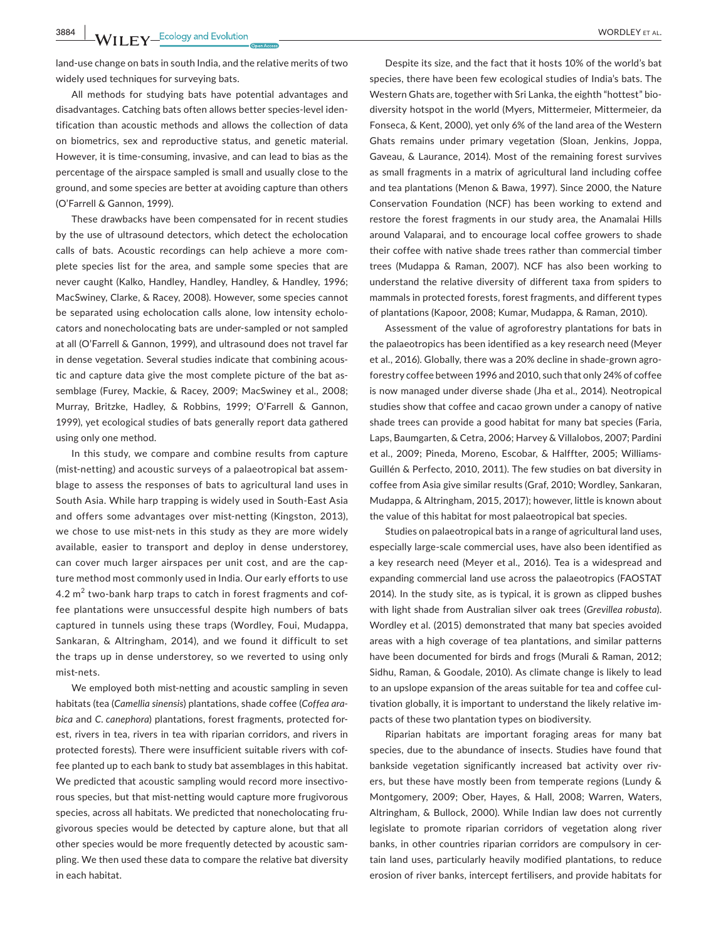**3884 WII FY** Ecology and Evolution **and Experiment Construction WORDLEY** ET AL.

land-use change on bats in south India, and the relative merits of two widely used techniques for surveying bats.

All methods for studying bats have potential advantages and disadvantages. Catching bats often allows better species-level identification than acoustic methods and allows the collection of data on biometrics, sex and reproductive status, and genetic material. However, it is time-consuming, invasive, and can lead to bias as the percentage of the airspace sampled is small and usually close to the ground, and some species are better at avoiding capture than others (O'Farrell & Gannon, 1999).

These drawbacks have been compensated for in recent studies by the use of ultrasound detectors, which detect the echolocation calls of bats. Acoustic recordings can help achieve a more complete species list for the area, and sample some species that are never caught (Kalko, Handley, Handley, Handley, & Handley, 1996; MacSwiney, Clarke, & Racey, 2008). However, some species cannot be separated using echolocation calls alone, low intensity echolocators and nonecholocating bats are under-sampled or not sampled at all (O'Farrell & Gannon, 1999), and ultrasound does not travel far in dense vegetation. Several studies indicate that combining acoustic and capture data give the most complete picture of the bat assemblage (Furey, Mackie, & Racey, 2009; MacSwiney et al., 2008; Murray, Britzke, Hadley, & Robbins, 1999; O'Farrell & Gannon, 1999), yet ecological studies of bats generally report data gathered using only one method.

In this study, we compare and combine results from capture (mist-netting) and acoustic surveys of a palaeotropical bat assemblage to assess the responses of bats to agricultural land uses in South Asia. While harp trapping is widely used in South-East Asia and offers some advantages over mist-netting (Kingston, 2013), we chose to use mist-nets in this study as they are more widely available, easier to transport and deploy in dense understorey, can cover much larger airspaces per unit cost, and are the capture method most commonly used in India. Our early efforts to use  $4.2\ \text{m}^2$  two-bank harp traps to catch in forest fragments and coffee plantations were unsuccessful despite high numbers of bats captured in tunnels using these traps (Wordley, Foui, Mudappa, Sankaran, & Altringham, 2014), and we found it difficult to set the traps up in dense understorey, so we reverted to using only mist-nets.

We employed both mist-netting and acoustic sampling in seven habitats (tea (*Camellia sinensis*) plantations, shade coffee (*Coffea arabica* and *C. canephora*) plantations, forest fragments, protected forest, rivers in tea, rivers in tea with riparian corridors, and rivers in protected forests). There were insufficient suitable rivers with coffee planted up to each bank to study bat assemblages in this habitat. We predicted that acoustic sampling would record more insectivorous species, but that mist-netting would capture more frugivorous species, across all habitats. We predicted that nonecholocating frugivorous species would be detected by capture alone, but that all other species would be more frequently detected by acoustic sampling. We then used these data to compare the relative bat diversity in each habitat.

Despite its size, and the fact that it hosts 10% of the world's bat species, there have been few ecological studies of India's bats. The Western Ghats are, together with Sri Lanka, the eighth "hottest" biodiversity hotspot in the world (Myers, Mittermeier, Mittermeier, da Fonseca, & Kent, 2000), yet only 6% of the land area of the Western Ghats remains under primary vegetation (Sloan, Jenkins, Joppa, Gaveau, & Laurance, 2014). Most of the remaining forest survives as small fragments in a matrix of agricultural land including coffee and tea plantations (Menon & Bawa, 1997). Since 2000, the Nature Conservation Foundation (NCF) has been working to extend and restore the forest fragments in our study area, the Anamalai Hills around Valaparai, and to encourage local coffee growers to shade their coffee with native shade trees rather than commercial timber trees (Mudappa & Raman, 2007). NCF has also been working to understand the relative diversity of different taxa from spiders to mammals in protected forests, forest fragments, and different types of plantations (Kapoor, 2008; Kumar, Mudappa, & Raman, 2010).

Assessment of the value of agroforestry plantations for bats in the palaeotropics has been identified as a key research need (Meyer et al., 2016). Globally, there was a 20% decline in shade-grown agroforestry coffee between 1996 and 2010, such that only 24% of coffee is now managed under diverse shade (Jha et al., 2014). Neotropical studies show that coffee and cacao grown under a canopy of native shade trees can provide a good habitat for many bat species (Faria, Laps, Baumgarten, & Cetra, 2006; Harvey & Villalobos, 2007; Pardini et al., 2009; Pineda, Moreno, Escobar, & Halffter, 2005; Williams-Guillén & Perfecto, 2010, 2011). The few studies on bat diversity in coffee from Asia give similar results (Graf, 2010; Wordley, Sankaran, Mudappa, & Altringham, 2015, 2017); however, little is known about the value of this habitat for most palaeotropical bat species.

Studies on palaeotropical bats in a range of agricultural land uses, especially large-scale commercial uses, have also been identified as a key research need (Meyer et al., 2016). Tea is a widespread and expanding commercial land use across the palaeotropics (FAOSTAT 2014). In the study site, as is typical, it is grown as clipped bushes with light shade from Australian silver oak trees (*Grevillea robusta*). Wordley et al. (2015) demonstrated that many bat species avoided areas with a high coverage of tea plantations, and similar patterns have been documented for birds and frogs (Murali & Raman, 2012; Sidhu, Raman, & Goodale, 2010). As climate change is likely to lead to an upslope expansion of the areas suitable for tea and coffee cultivation globally, it is important to understand the likely relative impacts of these two plantation types on biodiversity.

Riparian habitats are important foraging areas for many bat species, due to the abundance of insects. Studies have found that bankside vegetation significantly increased bat activity over rivers, but these have mostly been from temperate regions (Lundy & Montgomery, 2009; Ober, Hayes, & Hall, 2008; Warren, Waters, Altringham, & Bullock, 2000). While Indian law does not currently legislate to promote riparian corridors of vegetation along river banks, in other countries riparian corridors are compulsory in certain land uses, particularly heavily modified plantations, to reduce erosion of river banks, intercept fertilisers, and provide habitats for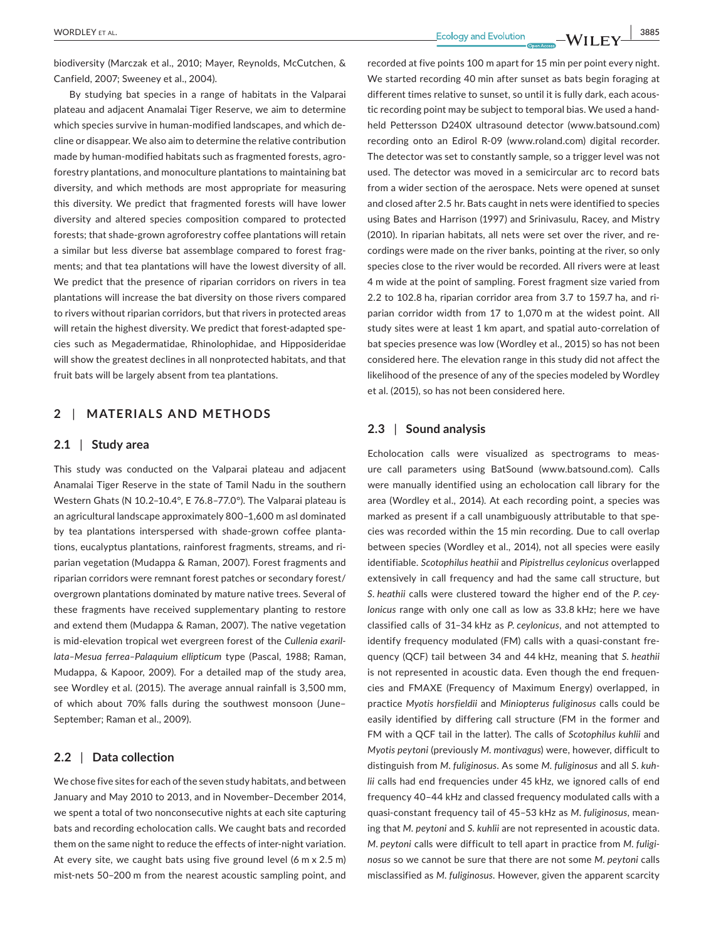**|** WORDLEY et al. **3885**

biodiversity (Marczak et al., 2010; Mayer, Reynolds, McCutchen, & Canfield, 2007; Sweeney et al., 2004).

By studying bat species in a range of habitats in the Valparai plateau and adjacent Anamalai Tiger Reserve, we aim to determine which species survive in human-modified landscapes, and which decline or disappear. We also aim to determine the relative contribution made by human-modified habitats such as fragmented forests, agroforestry plantations, and monoculture plantations to maintaining bat diversity, and which methods are most appropriate for measuring this diversity. We predict that fragmented forests will have lower diversity and altered species composition compared to protected forests; that shade-grown agroforestry coffee plantations will retain a similar but less diverse bat assemblage compared to forest fragments; and that tea plantations will have the lowest diversity of all. We predict that the presence of riparian corridors on rivers in tea plantations will increase the bat diversity on those rivers compared to rivers without riparian corridors, but that rivers in protected areas will retain the highest diversity. We predict that forest-adapted species such as Megadermatidae, Rhinolophidae, and Hipposideridae will show the greatest declines in all nonprotected habitats, and that fruit bats will be largely absent from tea plantations.

## **2** | **MATERIALS AND METHODS**

## **2.1** | **Study area**

This study was conducted on the Valparai plateau and adjacent Anamalai Tiger Reserve in the state of Tamil Nadu in the southern Western Ghats (N 10.2–10.4°, E 76.8–77.0°). The Valparai plateau is an agricultural landscape approximately 800–1,600 m asl dominated by tea plantations interspersed with shade-grown coffee plantations, eucalyptus plantations, rainforest fragments, streams, and riparian vegetation (Mudappa & Raman, 2007). Forest fragments and riparian corridors were remnant forest patches or secondary forest/ overgrown plantations dominated by mature native trees. Several of these fragments have received supplementary planting to restore and extend them (Mudappa & Raman, 2007). The native vegetation is mid-elevation tropical wet evergreen forest of the *Cullenia exarillata–Mesua ferrea–Palaquium ellipticum* type (Pascal, 1988; Raman, Mudappa, & Kapoor, 2009). For a detailed map of the study area, see Wordley et al. (2015). The average annual rainfall is 3,500 mm, of which about 70% falls during the southwest monsoon (June– September; Raman et al., 2009).

## **2.2** | **Data collection**

We chose five sites for each of the seven study habitats, and between January and May 2010 to 2013, and in November–December 2014, we spent a total of two nonconsecutive nights at each site capturing bats and recording echolocation calls. We caught bats and recorded them on the same night to reduce the effects of inter-night variation. At every site, we caught bats using five ground level (6 m x 2.5 m) mist-nets 50–200 m from the nearest acoustic sampling point, and

recorded at five points 100 m apart for 15 min per point every night. We started recording 40 min after sunset as bats begin foraging at different times relative to sunset, so until it is fully dark, each acoustic recording point may be subject to temporal bias. We used a handheld Pettersson D240X ultrasound detector [\(www.batsound.com\)](http://www.batsound.com) recording onto an Edirol R-09 ([www.roland.com](http://www.roland.com)) digital recorder. The detector was set to constantly sample, so a trigger level was not used. The detector was moved in a semicircular arc to record bats from a wider section of the aerospace. Nets were opened at sunset and closed after 2.5 hr. Bats caught in nets were identified to species using Bates and Harrison (1997) and Srinivasulu, Racey, and Mistry (2010). In riparian habitats, all nets were set over the river, and recordings were made on the river banks, pointing at the river, so only species close to the river would be recorded. All rivers were at least 4 m wide at the point of sampling. Forest fragment size varied from 2.2 to 102.8 ha, riparian corridor area from 3.7 to 159.7 ha, and riparian corridor width from 17 to 1,070 m at the widest point. All study sites were at least 1 km apart, and spatial auto-correlation of bat species presence was low (Wordley et al., 2015) so has not been considered here. The elevation range in this study did not affect the likelihood of the presence of any of the species modeled by Wordley et al. (2015), so has not been considered here.

## **2.3** | **Sound analysis**

Echolocation calls were visualized as spectrograms to measure call parameters using BatSound ([www.batsound.com\)](http://www.batsound.com). Calls were manually identified using an echolocation call library for the area (Wordley et al., 2014). At each recording point, a species was marked as present if a call unambiguously attributable to that species was recorded within the 15 min recording. Due to call overlap between species (Wordley et al., 2014), not all species were easily identifiable. *Scotophilus heathii* and *Pipistrellus ceylonicus* overlapped extensively in call frequency and had the same call structure, but *S. heathii* calls were clustered toward the higher end of the *P. ceylonicus* range with only one call as low as 33.8 kHz; here we have classified calls of 31–34 kHz as *P. ceylonicus*, and not attempted to identify frequency modulated (FM) calls with a quasi-constant frequency (QCF) tail between 34 and 44 kHz, meaning that *S. heathii* is not represented in acoustic data. Even though the end frequencies and FMAXE (Frequency of Maximum Energy) overlapped, in practice *Myotis horsfieldii* and *Miniopterus fuliginosus* calls could be easily identified by differing call structure (FM in the former and FM with a QCF tail in the latter). The calls of *Scotophilus kuhlii* and *Myotis peytoni* (previously *M. montivagus*) were, however, difficult to distinguish from *M. fuliginosus*. As some *M. fuliginosus* and all *S. kuhlii* calls had end frequencies under 45 kHz, we ignored calls of end frequency 40–44 kHz and classed frequency modulated calls with a quasi-constant frequency tail of 45–53 kHz as *M. fuliginosus*, meaning that *M. peytoni* and *S. kuhlii* are not represented in acoustic data. *M. peytoni* calls were difficult to tell apart in practice from *M. fuliginosus* so we cannot be sure that there are not some *M. peytoni* calls misclassified as *M. fuliginosus.* However, given the apparent scarcity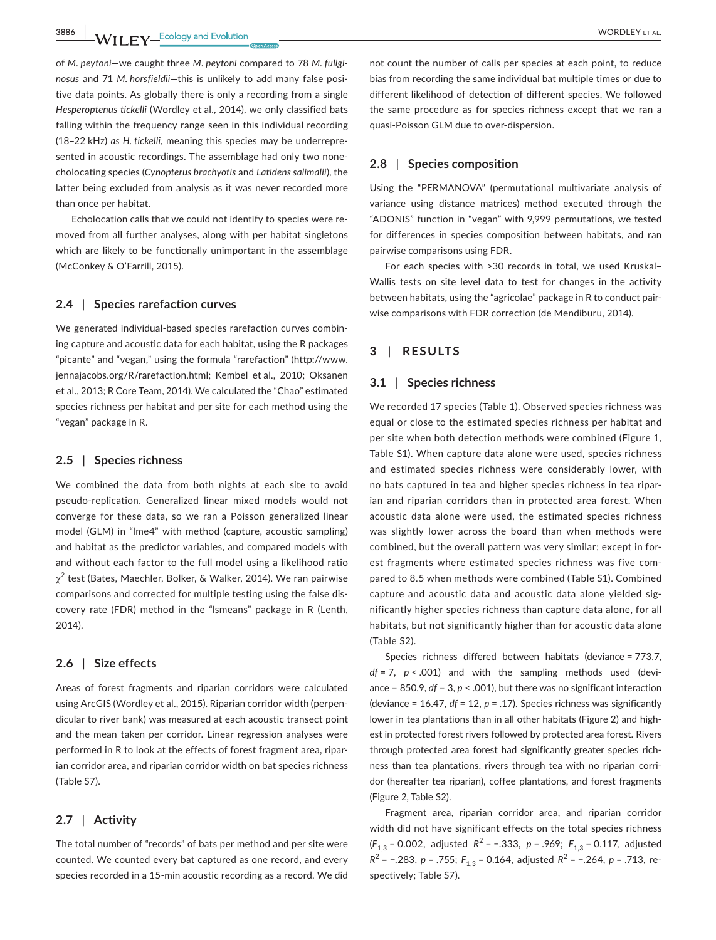**3886 WORDLEY ET AL. WORDLEY ET AL. WORDLEY** ET AL.

of *M. peytoni*—we caught three *M. peytoni* compared to 78 *M. fuliginosus* and 71 *M. horsfieldii*—this is unlikely to add many false positive data points. As globally there is only a recording from a single *Hesperoptenus tickelli* (Wordley et al., 2014), we only classified bats falling within the frequency range seen in this individual recording (18–22 kHz) *as H. tickelli*, meaning this species may be underrepresented in acoustic recordings. The assemblage had only two nonecholocating species (*Cynopterus brachyotis* and *Latidens salimalii*), the latter being excluded from analysis as it was never recorded more than once per habitat.

Echolocation calls that we could not identify to species were removed from all further analyses, along with per habitat singletons which are likely to be functionally unimportant in the assemblage (McConkey & O'Farrill, 2015).

#### **2.4** | **Species rarefaction curves**

We generated individual-based species rarefaction curves combining capture and acoustic data for each habitat, using the R packages "picante" and "vegan," using the formula "rarefaction" ([http://www.](http://www.jennajacobs.org/R/rarefaction.html) [jennajacobs.org/R/rarefaction.html](http://www.jennajacobs.org/R/rarefaction.html); Kembel et al., 2010; Oksanen et al., 2013; R Core Team, 2014). We calculated the "Chao" estimated species richness per habitat and per site for each method using the "vegan" package in R.

#### **2.5** | **Species richness**

We combined the data from both nights at each site to avoid pseudo-replication. Generalized linear mixed models would not converge for these data, so we ran a Poisson generalized linear model (GLM) in "lme4" with method (capture, acoustic sampling) and habitat as the predictor variables, and compared models with and without each factor to the full model using a likelihood ratio  $\chi^2$  test (Bates, Maechler, Bolker, & Walker, 2014). We ran pairwise comparisons and corrected for multiple testing using the false discovery rate (FDR) method in the "lsmeans" package in R (Lenth, 2014).

## **2.6** | **Size effects**

Areas of forest fragments and riparian corridors were calculated using ArcGIS (Wordley et al., 2015). Riparian corridor width (perpendicular to river bank) was measured at each acoustic transect point and the mean taken per corridor. Linear regression analyses were performed in R to look at the effects of forest fragment area, riparian corridor area, and riparian corridor width on bat species richness (Table S7).

## **2.7** | **Activity**

The total number of "records" of bats per method and per site were counted. We counted every bat captured as one record, and every species recorded in a 15-min acoustic recording as a record. We did

not count the number of calls per species at each point, to reduce bias from recording the same individual bat multiple times or due to different likelihood of detection of different species. We followed the same procedure as for species richness except that we ran a quasi-Poisson GLM due to over-dispersion.

## **2.8** | **Species composition**

Using the "PERMANOVA" (permutational multivariate analysis of variance using distance matrices) method executed through the "ADONIS" function in "vegan" with 9,999 permutations, we tested for differences in species composition between habitats, and ran pairwise comparisons using FDR.

For each species with >30 records in total, we used Kruskal– Wallis tests on site level data to test for changes in the activity between habitats, using the "agricolae" package in R to conduct pairwise comparisons with FDR correction (de Mendiburu, 2014).

## **3** | **RESULTS**

## **3.1** | **Species richness**

We recorded 17 species (Table 1). Observed species richness was equal or close to the estimated species richness per habitat and per site when both detection methods were combined (Figure 1, Table S1). When capture data alone were used, species richness and estimated species richness were considerably lower, with no bats captured in tea and higher species richness in tea riparian and riparian corridors than in protected area forest. When acoustic data alone were used, the estimated species richness was slightly lower across the board than when methods were combined, but the overall pattern was very similar; except in forest fragments where estimated species richness was five compared to 8.5 when methods were combined (Table S1). Combined capture and acoustic data and acoustic data alone yielded significantly higher species richness than capture data alone, for all habitats, but not significantly higher than for acoustic data alone (Table S2).

Species richness differed between habitats (deviance = 773.7, *df* = 7, *p* < .001) and with the sampling methods used (deviance =  $850.9$ ,  $df = 3$ ,  $p < .001$ ), but there was no significant interaction (deviance = 16.47, *df* = 12, *p* = .17). Species richness was significantly lower in tea plantations than in all other habitats (Figure 2) and highest in protected forest rivers followed by protected area forest. Rivers through protected area forest had significantly greater species richness than tea plantations, rivers through tea with no riparian corridor (hereafter tea riparian), coffee plantations, and forest fragments (Figure 2, Table S2).

Fragment area, riparian corridor area, and riparian corridor width did not have significant effects on the total species richness (*F*<sub>1,3</sub> = 0.002, adjusted *R*<sup>2</sup> = −.333, *p* = .969; *F*<sub>1,3</sub> = 0.117, adjusted *R*<sup>2</sup> = −.283, *p* = .755; *F*<sub>1.3</sub> = 0.164, adjusted *R*<sup>2</sup> = −.264, *p* = .713, respectively; Table S7).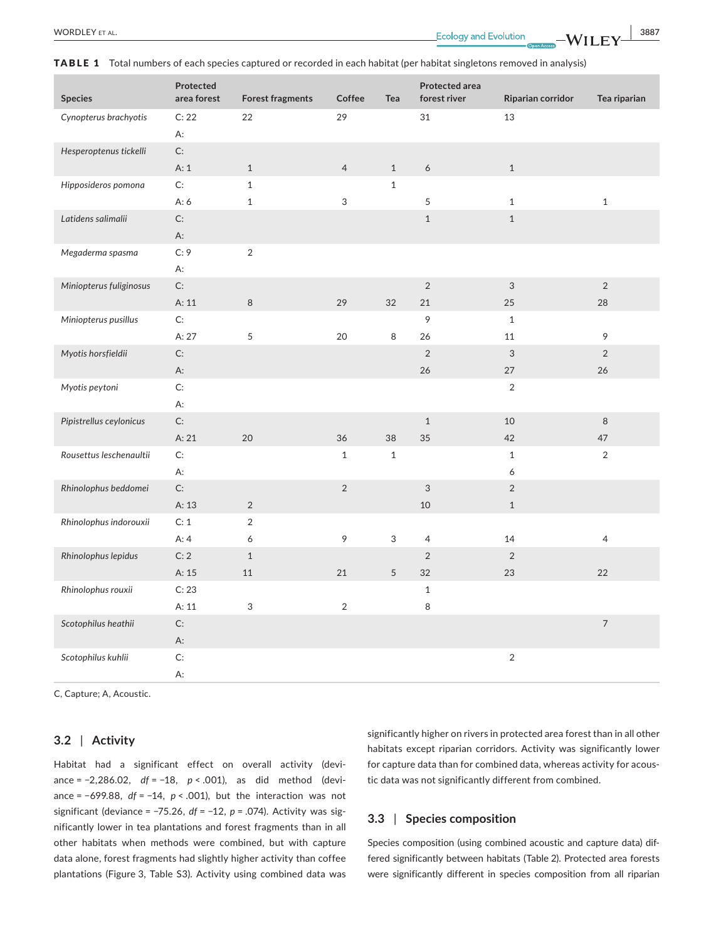TABLE 1 Total numbers of each species captured or recorded in each habitat (per habitat singletons removed in analysis)

| Species                 | Protected<br>area forest | <b>Forest fragments</b> | Coffee         | Tea          | <b>Protected area</b><br>forest river | Riparian corridor         | Tea riparian             |
|-------------------------|--------------------------|-------------------------|----------------|--------------|---------------------------------------|---------------------------|--------------------------|
| Cynopterus brachyotis   | C: 22                    | 22                      | 29             |              | 31                                    | 13                        |                          |
|                         | A:                       |                         |                |              |                                       |                           |                          |
| Hesperoptenus tickelli  | C:                       |                         |                |              |                                       |                           |                          |
|                         | A: 1                     | $1\,$                   | $\overline{4}$ | $\,1$        | $\epsilon$                            | $\,1\,$                   |                          |
| Hipposideros pomona     | $\mathsf{C}\mathpunct:$  | $\mathbf{1}$            |                | $\mathbf{1}$ |                                       |                           |                          |
|                         | A:6                      | $\,1\,$                 | $\mathfrak{S}$ |              | 5                                     | $\mathbf{1}$              | $1\,$                    |
| Latidens salimalii      | C:                       |                         |                |              | $1\,$                                 | $\mathbf{1}$              |                          |
|                         | A:                       |                         |                |              |                                       |                           |                          |
| Megaderma spasma        | C: 9                     | $\sqrt{2}$              |                |              |                                       |                           |                          |
|                         | A:                       |                         |                |              |                                       |                           |                          |
| Miniopterus fuliginosus | C:                       |                         |                |              | $\sqrt{2}$                            | $\mathbf{3}$              | $\overline{2}$           |
|                         | A: 11                    | $\,8\,$                 | 29             | 32           | 21                                    | 25                        | 28                       |
| Miniopterus pusillus    | C:                       |                         |                |              | 9                                     | $\mathbf{1}$              |                          |
|                         | A: 27                    | 5                       | 20             | 8            | 26                                    | 11                        | 9                        |
| Myotis horsfieldii      | C:                       |                         |                |              | $\sqrt{2}$                            | $\ensuremath{\mathsf{3}}$ | $\overline{2}$           |
|                         | A:                       |                         |                |              | 26                                    | 27                        | 26                       |
| Myotis peytoni          | $\mathsf{C}\mathpunct:$  |                         |                |              |                                       | $\overline{2}$            |                          |
|                         | A:                       |                         |                |              |                                       |                           |                          |
| Pipistrellus ceylonicus | C:                       |                         |                |              | $\mathbf{1}$                          | 10                        | $\,8\,$                  |
|                         | A: 21                    | 20                      | 36             | 38           | 35                                    | 42                        | 47                       |
| Rousettus leschenaultii | C:                       |                         | $\mathbf 1$    | $\,1\,$      |                                       | $\,1\,$                   | $\sqrt{2}$               |
|                         | А:                       |                         |                |              |                                       | 6                         |                          |
| Rhinolophus beddomei    | C:                       |                         | $\overline{2}$ |              | $\ensuremath{\mathsf{3}}$             | $\overline{2}$            |                          |
|                         | A: 13                    | $\overline{2}$          |                |              | 10                                    | $\mathbf{1}$              |                          |
| Rhinolophus indorouxii  | C: 1                     | $\overline{2}$          |                |              |                                       |                           |                          |
|                         | A:4                      | 6                       | 9              | 3            | $\overline{4}$                        | 14                        | $\overline{4}$           |
| Rhinolophus lepidus     | C: 2                     | $\mathbf{1}$            |                |              | $\sqrt{2}$                            | $\overline{2}$            |                          |
|                         | A: 15                    | $11\,$                  | 21             | 5            | 32                                    | 23                        | 22                       |
| Rhinolophus rouxii      | C: 23                    |                         |                |              | $1\,$                                 |                           |                          |
|                         | A:11                     | 3                       | $\overline{2}$ |              | 8                                     |                           |                          |
| Scotophilus heathii     | $\mathsf{C}\mathpunct:$  |                         |                |              |                                       |                           | $\overline{\phantom{a}}$ |
|                         | A:                       |                         |                |              |                                       |                           |                          |
| Scotophilus kuhlii      | C:                       |                         |                |              |                                       | $\sqrt{2}$                |                          |
|                         | А:                       |                         |                |              |                                       |                           |                          |

C, Capture; A, Acoustic.

## **3.2** | **Activity**

Habitat had a significant effect on overall activity (deviance = −2,286.02, *df* = −18, *p* < .001), as did method (deviance = −699.88, *df* = −14, *p* < .001), but the interaction was not significant (deviance = −75.26, *df* = −12, *p* = .074). Activity was significantly lower in tea plantations and forest fragments than in all other habitats when methods were combined, but with capture data alone, forest fragments had slightly higher activity than coffee plantations (Figure 3, Table S3). Activity using combined data was

significantly higher on rivers in protected area forest than in all other habitats except riparian corridors. Activity was significantly lower for capture data than for combined data, whereas activity for acoustic data was not significantly different from combined.

## **3.3** | **Species composition**

Species composition (using combined acoustic and capture data) differed significantly between habitats (Table 2). Protected area forests were significantly different in species composition from all riparian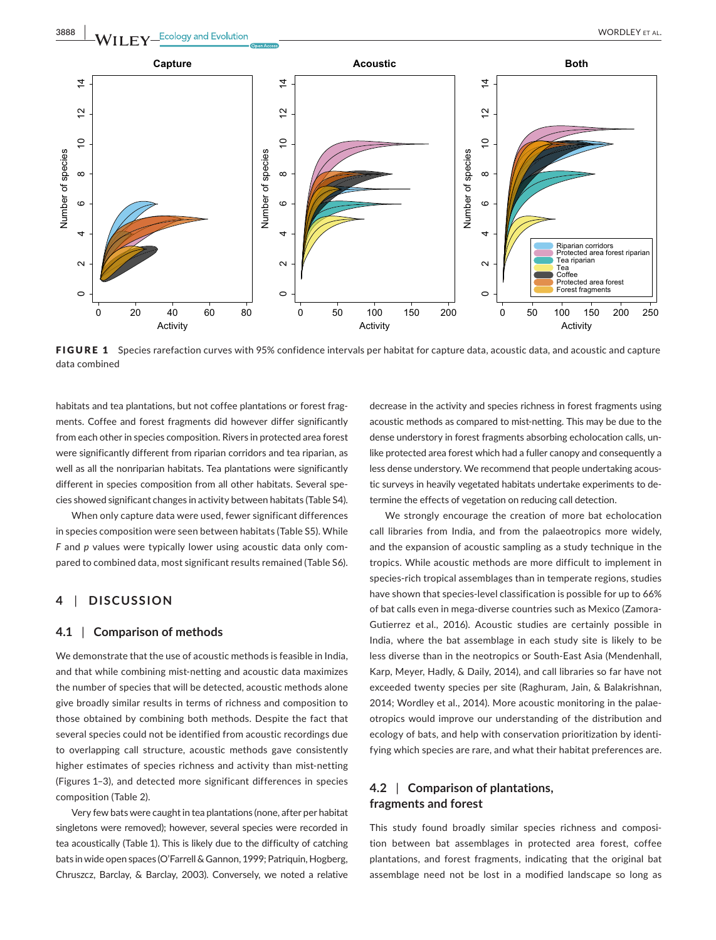

FIGURE 1 Species rarefaction curves with 95% confidence intervals per habitat for capture data, acoustic data, and acoustic and capture data combined

habitats and tea plantations, but not coffee plantations or forest fragments. Coffee and forest fragments did however differ significantly from each other in species composition. Rivers in protected area forest were significantly different from riparian corridors and tea riparian, as well as all the nonriparian habitats. Tea plantations were significantly different in species composition from all other habitats. Several species showed significant changes in activity between habitats (Table S4).

When only capture data were used, fewer significant differences in species composition were seen between habitats (Table S5). While *F* and *p* values were typically lower using acoustic data only compared to combined data, most significant results remained (Table S6).

## **4** | **DISCUSSION**

#### **4.1** | **Comparison of methods**

We demonstrate that the use of acoustic methods is feasible in India, and that while combining mist-netting and acoustic data maximizes the number of species that will be detected, acoustic methods alone give broadly similar results in terms of richness and composition to those obtained by combining both methods. Despite the fact that several species could not be identified from acoustic recordings due to overlapping call structure, acoustic methods gave consistently higher estimates of species richness and activity than mist-netting (Figures 1–3), and detected more significant differences in species composition (Table 2).

Very few bats were caught in tea plantations (none, after per habitat singletons were removed); however, several species were recorded in tea acoustically (Table 1). This is likely due to the difficulty of catching bats in wide open spaces (O'Farrell & Gannon, 1999; Patriquin, Hogberg, Chruszcz, Barclay, & Barclay, 2003). Conversely, we noted a relative

decrease in the activity and species richness in forest fragments using acoustic methods as compared to mist-netting. This may be due to the dense understory in forest fragments absorbing echolocation calls, unlike protected area forest which had a fuller canopy and consequently a less dense understory. We recommend that people undertaking acoustic surveys in heavily vegetated habitats undertake experiments to determine the effects of vegetation on reducing call detection.

We strongly encourage the creation of more bat echolocation call libraries from India, and from the palaeotropics more widely, and the expansion of acoustic sampling as a study technique in the tropics. While acoustic methods are more difficult to implement in species-rich tropical assemblages than in temperate regions, studies have shown that species-level classification is possible for up to 66% of bat calls even in mega-diverse countries such as Mexico (Zamora-Gutierrez et al., 2016). Acoustic studies are certainly possible in India, where the bat assemblage in each study site is likely to be less diverse than in the neotropics or South-East Asia (Mendenhall, Karp, Meyer, Hadly, & Daily, 2014), and call libraries so far have not exceeded twenty species per site (Raghuram, Jain, & Balakrishnan, 2014; Wordley et al., 2014). More acoustic monitoring in the palaeotropics would improve our understanding of the distribution and ecology of bats, and help with conservation prioritization by identifying which species are rare, and what their habitat preferences are.

## **4.2** | **Comparison of plantations, fragments and forest**

This study found broadly similar species richness and composition between bat assemblages in protected area forest, coffee plantations, and forest fragments, indicating that the original bat assemblage need not be lost in a modified landscape so long as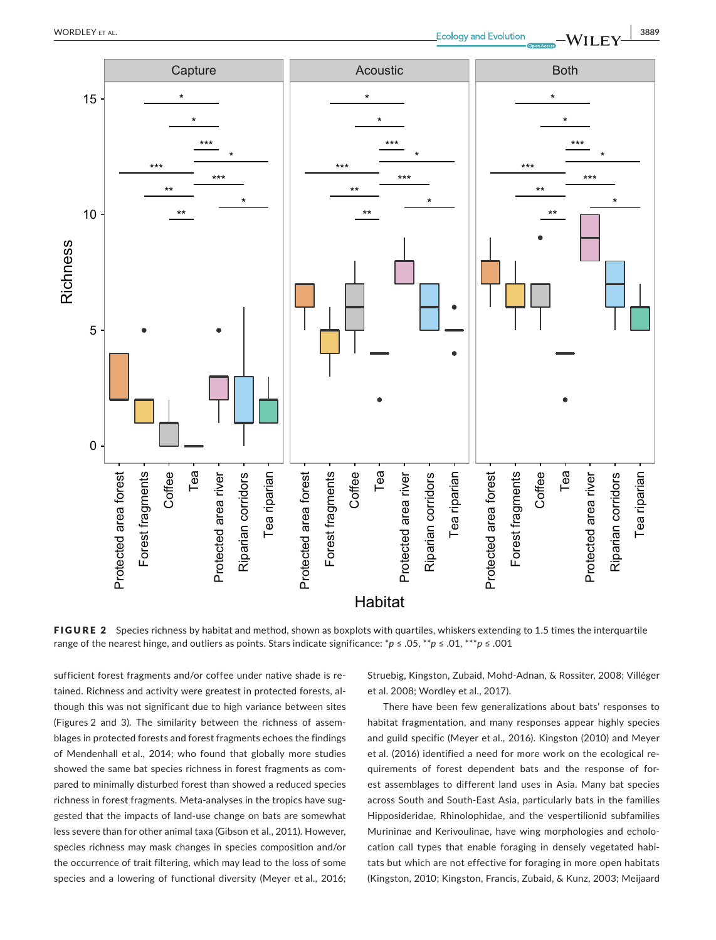

FIGURE 2 Species richness by habitat and method, shown as boxplots with quartiles, whiskers extending to 1.5 times the interquartile range of the nearest hinge, and outliers as points. Stars indicate significance: \**p* ≤ .05, \*\**p* ≤ .01, \*\*\**p* ≤ .001

sufficient forest fragments and/or coffee under native shade is retained. Richness and activity were greatest in protected forests, although this was not significant due to high variance between sites (Figures 2 and 3). The similarity between the richness of assemblages in protected forests and forest fragments echoes the findings of Mendenhall et al., 2014; who found that globally more studies showed the same bat species richness in forest fragments as compared to minimally disturbed forest than showed a reduced species richness in forest fragments. Meta-analyses in the tropics have suggested that the impacts of land-use change on bats are somewhat less severe than for other animal taxa (Gibson et al., 2011). However, species richness may mask changes in species composition and/or the occurrence of trait filtering, which may lead to the loss of some species and a lowering of functional diversity (Meyer et al., 2016; Struebig, Kingston, Zubaid, Mohd-Adnan, & Rossiter, 2008; Villéger et al. 2008; Wordley et al., 2017).

There have been few generalizations about bats' responses to habitat fragmentation, and many responses appear highly species and guild specific (Meyer et al., 2016). Kingston (2010) and Meyer et al. (2016) identified a need for more work on the ecological requirements of forest dependent bats and the response of forest assemblages to different land uses in Asia. Many bat species across South and South-East Asia, particularly bats in the families Hipposideridae, Rhinolophidae, and the vespertilionid subfamilies Murininae and Kerivoulinae, have wing morphologies and echolocation call types that enable foraging in densely vegetated habitats but which are not effective for foraging in more open habitats (Kingston, 2010; Kingston, Francis, Zubaid, & Kunz, 2003; Meijaard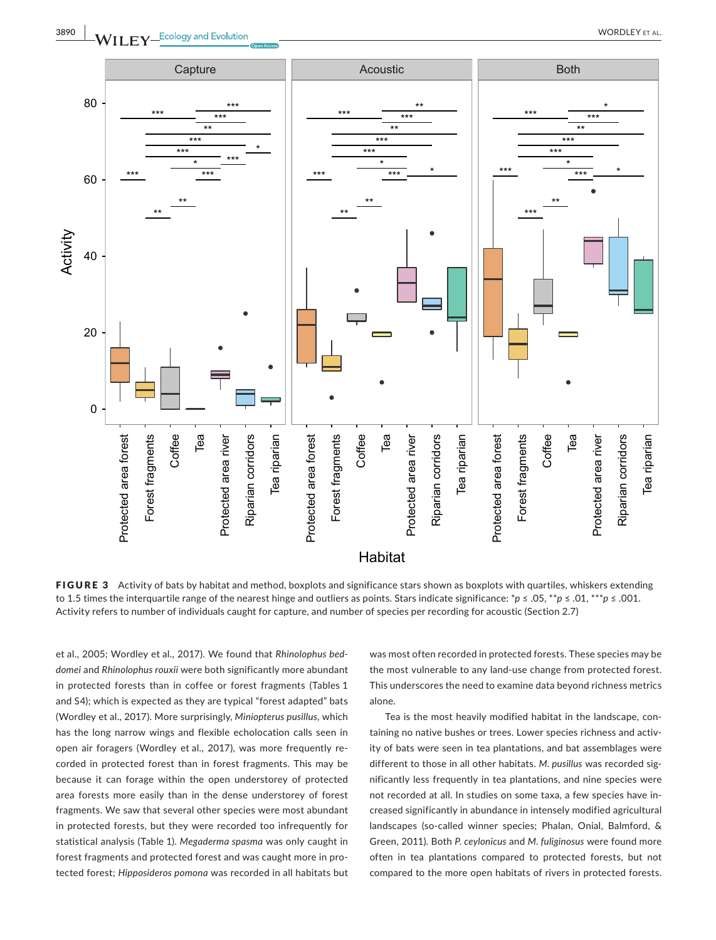



FIGURE 3 Activity of bats by habitat and method, boxplots and significance stars shown as boxplots with quartiles, whiskers extending to 1.5 times the interquartile range of the nearest hinge and outliers as points. Stars indicate significance: \**p* ≤ .05, \*\**p* ≤ .01, \*\*\**p* ≤ .001. Activity refers to number of individuals caught for capture, and number of species per recording for acoustic (Section 2.7)

et al., 2005; Wordley et al., 2017). We found that *Rhinolophus beddomei* and *Rhinolophus rouxii* were both significantly more abundant in protected forests than in coffee or forest fragments (Tables 1 and S4); which is expected as they are typical "forest adapted" bats (Wordley et al., 2017). More surprisingly, *Miniopterus pusillus*, which has the long narrow wings and flexible echolocation calls seen in open air foragers (Wordley et al., 2017), was more frequently recorded in protected forest than in forest fragments. This may be because it can forage within the open understorey of protected area forests more easily than in the dense understorey of forest fragments. We saw that several other species were most abundant in protected forests, but they were recorded too infrequently for statistical analysis (Table 1). *Megaderma spasma* was only caught in forest fragments and protected forest and was caught more in protected forest; *Hipposideros pomona* was recorded in all habitats but

was most often recorded in protected forests. These species may be the most vulnerable to any land-use change from protected forest. This underscores the need to examine data beyond richness metrics alone.

Tea is the most heavily modified habitat in the landscape, containing no native bushes or trees. Lower species richness and activity of bats were seen in tea plantations, and bat assemblages were different to those in all other habitats. *M. pusillus* was recorded significantly less frequently in tea plantations, and nine species were not recorded at all. In studies on some taxa, a few species have increased significantly in abundance in intensely modified agricultural landscapes (so-called winner species; Phalan, Onial, Balmford, & Green, 2011). Both *P. ceylonicus* and *M. fuliginosus* were found more often in tea plantations compared to protected forests, but not compared to the more open habitats of rivers in protected forests.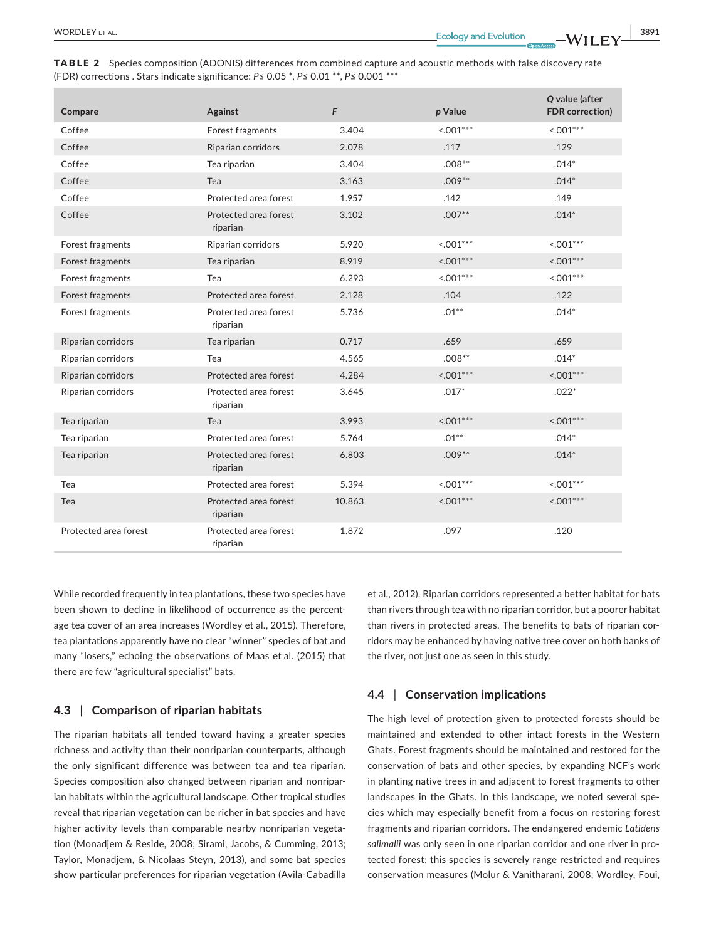| <b>TABLE 2</b> Species composition (ADONIS) differences from combined capture and acoustic methods with false discovery rate |  |  |
|------------------------------------------------------------------------------------------------------------------------------|--|--|
| (FDR) corrections . Stars indicate significance: $P \le 0.05$ *, $P \le 0.01$ **, $P \le 0.001$ ***                          |  |  |

| Compare               | Against                           | F      | p Value     | Q value (after<br><b>FDR</b> correction) |
|-----------------------|-----------------------------------|--------|-------------|------------------------------------------|
| Coffee                | Forest fragments                  | 3.404  | $< 0.01***$ | $< 0.01***$                              |
| Coffee                | Riparian corridors                | 2.078  | .117        | .129                                     |
| Coffee                | Tea riparian                      | 3.404  | $.008***$   | $.014*$                                  |
| Coffee                | Tea                               | 3.163  | $.009***$   | $.014*$                                  |
| Coffee                | Protected area forest             | 1.957  | .142        | .149                                     |
| Coffee                | Protected area forest<br>riparian | 3.102  | $.007**$    | $.014*$                                  |
| Forest fragments      | Riparian corridors                | 5.920  | $< 0.01***$ | $< 0.01***$                              |
| Forest fragments      | Tea riparian                      | 8.919  | $< 0.01***$ | $< 0.01***$                              |
| Forest fragments      | Tea                               | 6.293  | $< 0.01***$ | $< 0.01***$                              |
| Forest fragments      | Protected area forest             | 2.128  | .104        | .122                                     |
| Forest fragments      | Protected area forest<br>riparian | 5.736  | $.01***$    | $.014*$                                  |
| Riparian corridors    | Tea riparian                      | 0.717  | .659        | .659                                     |
| Riparian corridors    | Tea                               | 4.565  | $.008***$   | $.014*$                                  |
| Riparian corridors    | Protected area forest             | 4.284  | $< 0.01***$ | $< 0.01***$                              |
| Riparian corridors    | Protected area forest<br>riparian | 3.645  | $.017*$     | $.022*$                                  |
| Tea riparian          | Tea                               | 3.993  | $< 0.01***$ | $< 0.01***$                              |
| Tea riparian          | Protected area forest             | 5.764  | $.01***$    | $.014*$                                  |
| Tea riparian          | Protected area forest<br>riparian | 6.803  | $.009***$   | $.014*$                                  |
| Tea                   | Protected area forest             | 5.394  | $< 0.01***$ | $< 0.01***$                              |
| Tea                   | Protected area forest<br>riparian | 10.863 | $< 0.01***$ | $< 0.01***$                              |
| Protected area forest | Protected area forest<br>riparian | 1.872  | .097        | .120                                     |

While recorded frequently in tea plantations, these two species have been shown to decline in likelihood of occurrence as the percentage tea cover of an area increases (Wordley et al., 2015). Therefore, tea plantations apparently have no clear "winner" species of bat and many "losers," echoing the observations of Maas et al. (2015) that there are few "agricultural specialist" bats.

## **4.3** | **Comparison of riparian habitats**

The riparian habitats all tended toward having a greater species richness and activity than their nonriparian counterparts, although the only significant difference was between tea and tea riparian. Species composition also changed between riparian and nonriparian habitats within the agricultural landscape. Other tropical studies reveal that riparian vegetation can be richer in bat species and have higher activity levels than comparable nearby nonriparian vegetation (Monadjem & Reside, 2008; Sirami, Jacobs, & Cumming, 2013; Taylor, Monadjem, & Nicolaas Steyn, 2013), and some bat species show particular preferences for riparian vegetation (Avila-Cabadilla et al., 2012). Riparian corridors represented a better habitat for bats than rivers through tea with no riparian corridor, but a poorer habitat than rivers in protected areas. The benefits to bats of riparian corridors may be enhanced by having native tree cover on both banks of the river, not just one as seen in this study.

## **4.4** | **Conservation implications**

The high level of protection given to protected forests should be maintained and extended to other intact forests in the Western Ghats. Forest fragments should be maintained and restored for the conservation of bats and other species, by expanding NCF's work in planting native trees in and adjacent to forest fragments to other landscapes in the Ghats. In this landscape, we noted several species which may especially benefit from a focus on restoring forest fragments and riparian corridors. The endangered endemic *Latidens salimalii* was only seen in one riparian corridor and one river in protected forest; this species is severely range restricted and requires conservation measures (Molur & Vanitharani, 2008; Wordley, Foui,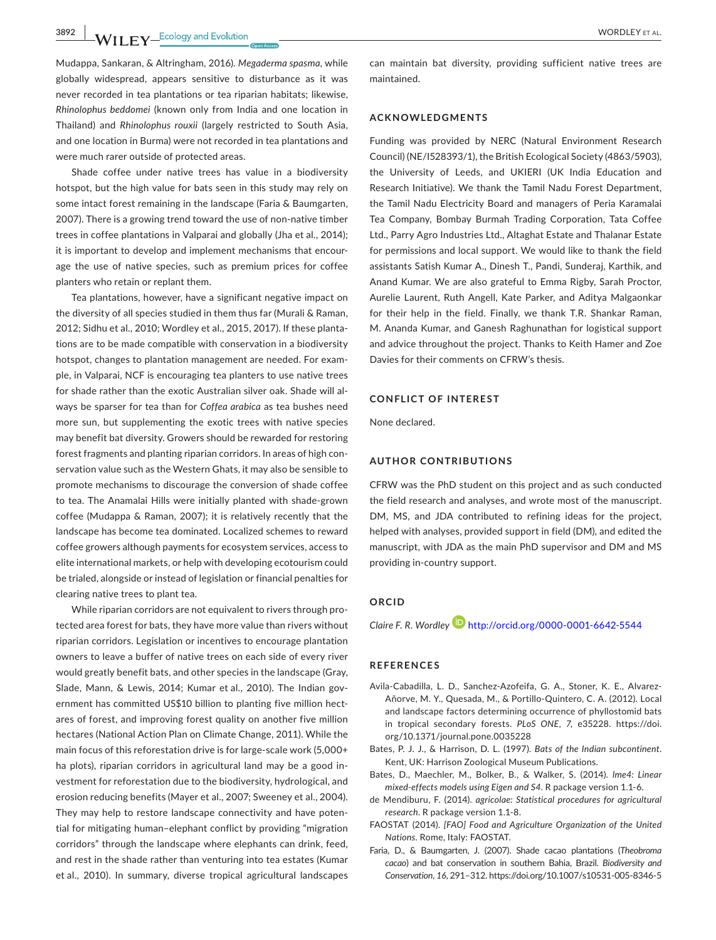**3892 WILEY-Ecology and Evolution** *CONDUCTRY ET AL.* 

Mudappa, Sankaran, & Altringham, 2016). *Megaderma spasma*, while globally widespread, appears sensitive to disturbance as it was never recorded in tea plantations or tea riparian habitats; likewise, *Rhinolophus beddomei* (known only from India and one location in Thailand) and *Rhinolophus rouxii* (largely restricted to South Asia, and one location in Burma) were not recorded in tea plantations and were much rarer outside of protected areas.

Shade coffee under native trees has value in a biodiversity hotspot, but the high value for bats seen in this study may rely on some intact forest remaining in the landscape (Faria & Baumgarten, 2007). There is a growing trend toward the use of non-native timber trees in coffee plantations in Valparai and globally (Jha et al., 2014); it is important to develop and implement mechanisms that encourage the use of native species, such as premium prices for coffee planters who retain or replant them.

Tea plantations, however, have a significant negative impact on the diversity of all species studied in them thus far (Murali & Raman, 2012; Sidhu et al., 2010; Wordley et al., 2015, 2017). If these plantations are to be made compatible with conservation in a biodiversity hotspot, changes to plantation management are needed. For example, in Valparai, NCF is encouraging tea planters to use native trees for shade rather than the exotic Australian silver oak. Shade will always be sparser for tea than for *Coffea arabica* as tea bushes need more sun, but supplementing the exotic trees with native species may benefit bat diversity. Growers should be rewarded for restoring forest fragments and planting riparian corridors. In areas of high conservation value such as the Western Ghats, it may also be sensible to promote mechanisms to discourage the conversion of shade coffee to tea. The Anamalai Hills were initially planted with shade-grown coffee (Mudappa & Raman, 2007); it is relatively recently that the landscape has become tea dominated. Localized schemes to reward coffee growers although payments for ecosystem services, access to elite international markets, or help with developing ecotourism could be trialed, alongside or instead of legislation or financial penalties for clearing native trees to plant tea.

While riparian corridors are not equivalent to rivers through protected area forest for bats, they have more value than rivers without riparian corridors. Legislation or incentives to encourage plantation owners to leave a buffer of native trees on each side of every river would greatly benefit bats, and other species in the landscape (Gray, Slade, Mann, & Lewis, 2014; Kumar et al., 2010). The Indian government has committed US\$10 billion to planting five million hectares of forest, and improving forest quality on another five million hectares (National Action Plan on Climate Change, 2011). While the main focus of this reforestation drive is for large-scale work (5,000+ ha plots), riparian corridors in agricultural land may be a good investment for reforestation due to the biodiversity, hydrological, and erosion reducing benefits (Mayer et al., 2007; Sweeney et al., 2004). They may help to restore landscape connectivity and have potential for mitigating human–elephant conflict by providing "migration corridors" through the landscape where elephants can drink, feed, and rest in the shade rather than venturing into tea estates (Kumar et al., 2010). In summary, diverse tropical agricultural landscapes

can maintain bat diversity, providing sufficient native trees are maintained.

#### **ACKNOWLEDGMENTS**

Funding was provided by NERC (Natural Environment Research Council) (NE/I528393/1), the British Ecological Society (4863/5903), the University of Leeds, and UKIERI (UK India Education and Research Initiative). We thank the Tamil Nadu Forest Department, the Tamil Nadu Electricity Board and managers of Peria Karamalai Tea Company, Bombay Burmah Trading Corporation, Tata Coffee Ltd., Parry Agro Industries Ltd., Altaghat Estate and Thalanar Estate for permissions and local support. We would like to thank the field assistants Satish Kumar A., Dinesh T., Pandi, Sunderaj, Karthik, and Anand Kumar. We are also grateful to Emma Rigby, Sarah Proctor, Aurelie Laurent, Ruth Angell, Kate Parker, and Aditya Malgaonkar for their help in the field. Finally, we thank T.R. Shankar Raman, M. Ananda Kumar, and Ganesh Raghunathan for logistical support and advice throughout the project. Thanks to Keith Hamer and Zoe Davies for their comments on CFRW's thesis.

## **CONFLICT OF INTEREST**

None declared.

#### **AUTHOR CONTRIBUTIONS**

CFRW was the PhD student on this project and as such conducted the field research and analyses, and wrote most of the manuscript. DM, MS, and JDA contributed to refining ideas for the project, helped with analyses, provided support in field (DM), and edited the manuscript, with JDA as the main PhD supervisor and DM and MS providing in-country support.

## **ORCID**

*Claire F. R. Wordley* <http://orcid.org/0000-0001-6642-5544>

#### **REFERENCES**

- Avila-Cabadilla, L. D., Sanchez-Azofeifa, G. A., Stoner, K. E., Alvarez-Añorve, M. Y., Quesada, M., & Portillo-Quintero, C. A. (2012). Local and landscape factors determining occurrence of phyllostomid bats in tropical secondary forests. *PLoS ONE*, *7*, e35228. [https://doi.](https://doi.org/10.1371/journal.pone.0035228) [org/10.1371/journal.pone.0035228](https://doi.org/10.1371/journal.pone.0035228)
- Bates, P. J. J., & Harrison, D. L. (1997). *Bats of the Indian subcontinent*. Kent, UK: Harrison Zoological Museum Publications.
- Bates, D., Maechler, M., Bolker, B., & Walker, S. (2014). *lme4: Linear mixed-effects models using Eigen and S4*. R package version 1.1-6.
- de Mendiburu, F. (2014). *agricolae: Statistical procedures for agricultural research*. R package version 1.1-8.
- FAOSTAT (2014). *[FAO] Food and Agriculture Organization of the United Nations*. Rome, Italy: FAOSTAT.
- Faria, D., & Baumgarten, J. (2007). Shade cacao plantations (*Theobroma cacao*) and bat conservation in southern Bahia, Brazil. *Biodiversity and Conservation*, *16*, 291–312.<https://doi.org/10.1007/s10531-005-8346-5>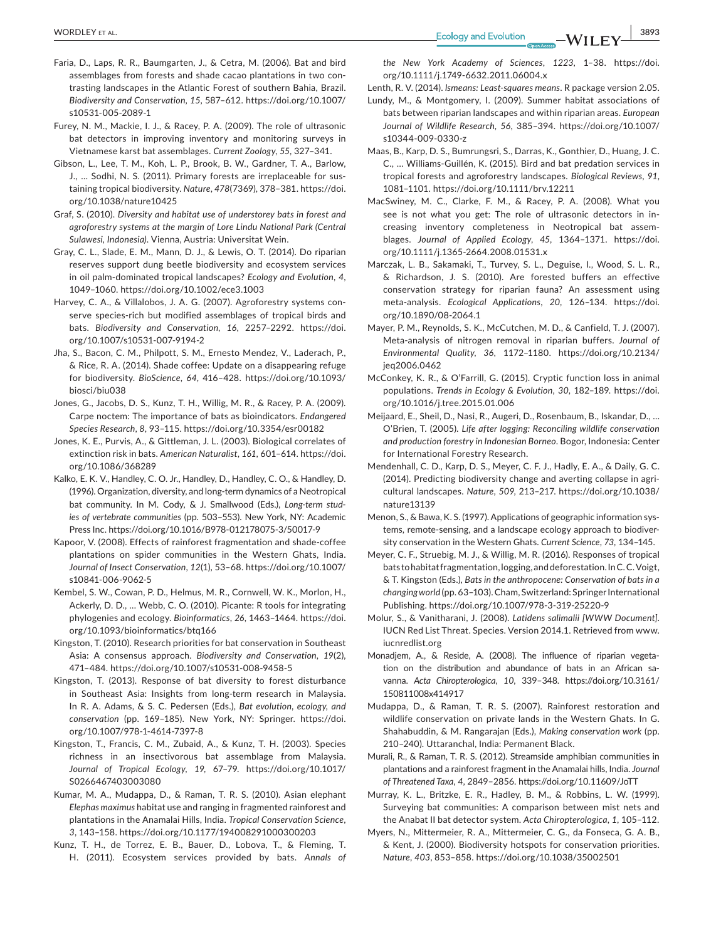- Faria, D., Laps, R. R., Baumgarten, J., & Cetra, M. (2006). Bat and bird assemblages from forests and shade cacao plantations in two contrasting landscapes in the Atlantic Forest of southern Bahia, Brazil. *Biodiversity and Conservation*, *15*, 587–612. [https://doi.org/10.1007/](https://doi.org/10.1007/s10531-005-2089-1) [s10531-005-2089-1](https://doi.org/10.1007/s10531-005-2089-1)
- Furey, N. M., Mackie, I. J., & Racey, P. A. (2009). The role of ultrasonic bat detectors in improving inventory and monitoring surveys in Vietnamese karst bat assemblages. *Current Zoology*, *55*, 327–341.
- Gibson, L., Lee, T. M., Koh, L. P., Brook, B. W., Gardner, T. A., Barlow, J., … Sodhi, N. S. (2011). Primary forests are irreplaceable for sustaining tropical biodiversity. *Nature*, *478*(7369), 378–381. [https://doi.](https://doi.org/10.1038/nature10425) [org/10.1038/nature10425](https://doi.org/10.1038/nature10425)
- Graf, S. (2010). *Diversity and habitat use of understorey bats in forest and agroforestry systems at the margin of Lore Lindu National Park (Central Sulawesi, Indonesia)*. Vienna, Austria: Universitat Wein.
- Gray, C. L., Slade, E. M., Mann, D. J., & Lewis, O. T. (2014). Do riparian reserves support dung beetle biodiversity and ecosystem services in oil palm-dominated tropical landscapes? *Ecology and Evolution*, *4*, 1049–1060.<https://doi.org/10.1002/ece3.1003>
- Harvey, C. A., & Villalobos, J. A. G. (2007). Agroforestry systems conserve species-rich but modified assemblages of tropical birds and bats. *Biodiversity and Conservation*, *16*, 2257–2292. [https://doi.](https://doi.org/10.1007/s10531-007-9194-2) [org/10.1007/s10531-007-9194-2](https://doi.org/10.1007/s10531-007-9194-2)
- Jha, S., Bacon, C. M., Philpott, S. M., Ernesto Mendez, V., Laderach, P., & Rice, R. A. (2014). Shade coffee: Update on a disappearing refuge for biodiversity. *BioScience*, *64*, 416–428. [https://doi.org/10.1093/](https://doi.org/10.1093/biosci/biu038) [biosci/biu038](https://doi.org/10.1093/biosci/biu038)
- Jones, G., Jacobs, D. S., Kunz, T. H., Willig, M. R., & Racey, P. A. (2009). Carpe noctem: The importance of bats as bioindicators. *Endangered Species Research*, *8*, 93–115.<https://doi.org/10.3354/esr00182>
- Jones, K. E., Purvis, A., & Gittleman, J. L. (2003). Biological correlates of extinction risk in bats. *American Naturalist*, *161*, 601–614. [https://doi.](https://doi.org/10.1086/368289) [org/10.1086/368289](https://doi.org/10.1086/368289)
- Kalko, E. K. V., Handley, C. O. Jr., Handley, D., Handley, C. O., & Handley, D. (1996). Organization, diversity, and long-term dynamics of a Neotropical bat community. In M. Cody, & J. Smallwood (Eds.), *Long-term studies of vertebrate communities* (pp. 503–553). New York, NY: Academic Press Inc.<https://doi.org/10.1016/B978-012178075-3/50017-9>
- Kapoor, V. (2008). Effects of rainforest fragmentation and shade-coffee plantations on spider communities in the Western Ghats, India. *Journal of Insect Conservation*, *12*(1), 53–68. [https://doi.org/10.1007/](https://doi.org/10.1007/s10841-006-9062-5) [s10841-006-9062-5](https://doi.org/10.1007/s10841-006-9062-5)
- Kembel, S. W., Cowan, P. D., Helmus, M. R., Cornwell, W. K., Morlon, H., Ackerly, D. D., … Webb, C. O. (2010). Picante: R tools for integrating phylogenies and ecology. *Bioinformatics*, *26*, 1463–1464. [https://doi.](https://doi.org/10.1093/bioinformatics/btq166) [org/10.1093/bioinformatics/btq166](https://doi.org/10.1093/bioinformatics/btq166)
- Kingston, T. (2010). Research priorities for bat conservation in Southeast Asia: A consensus approach. *Biodiversity and Conservation*, *19*(2), 471–484. <https://doi.org/10.1007/s10531-008-9458-5>
- Kingston, T. (2013). Response of bat diversity to forest disturbance in Southeast Asia: Insights from long-term research in Malaysia. In R. A. Adams, & S. C. Pedersen (Eds.), *Bat evolution, ecology, and conservation* (pp. 169–185). New York, NY: Springer. [https://doi.](https://doi.org/10.1007/978-1-4614-7397-8) [org/10.1007/978-1-4614-7397-8](https://doi.org/10.1007/978-1-4614-7397-8)
- Kingston, T., Francis, C. M., Zubaid, A., & Kunz, T. H. (2003). Species richness in an insectivorous bat assemblage from Malaysia. *Journal of Tropical Ecology*, *19*, 67–79. [https://doi.org/10.1017/](https://doi.org/10.1017/S0266467403003080) [S0266467403003080](https://doi.org/10.1017/S0266467403003080)
- Kumar, M. A., Mudappa, D., & Raman, T. R. S. (2010). Asian elephant *Elephas maximus* habitat use and ranging in fragmented rainforest and plantations in the Anamalai Hills, India. *Tropical Conservation Science*, *3*, 143–158. <https://doi.org/10.1177/194008291000300203>
- Kunz, T. H., de Torrez, E. B., Bauer, D., Lobova, T., & Fleming, T. H. (2011). Ecosystem services provided by bats. *Annals of*

*the New York Academy of Sciences*, *1223*, 1–38. [https://doi.](https://doi.org/10.1111/j.1749-6632.2011.06004.x) [org/10.1111/j.1749-6632.2011.06004.x](https://doi.org/10.1111/j.1749-6632.2011.06004.x)

Lenth, R. V. (2014). *lsmeans: Least-squares means*. R package version 2.05.

- Lundy, M., & Montgomery, I. (2009). Summer habitat associations of bats between riparian landscapes and within riparian areas. *European Journal of Wildlife Research*, *56*, 385–394. [https://doi.org/10.1007/](https://doi.org/10.1007/s10344-009-0330-z) [s10344-009-0330-z](https://doi.org/10.1007/s10344-009-0330-z)
- Maas, B., Karp, D. S., Bumrungsri, S., Darras, K., Gonthier, D., Huang, J. C. C., … Williams-Guillén, K. (2015). Bird and bat predation services in tropical forests and agroforestry landscapes. *Biological Reviews*, *91*, 1081–1101.<https://doi.org/10.1111/brv.12211>
- MacSwiney, M. C., Clarke, F. M., & Racey, P. A. (2008). What you see is not what you get: The role of ultrasonic detectors in increasing inventory completeness in Neotropical bat assemblages. *Journal of Applied Ecology*, *45*, 1364–1371. [https://doi.](https://doi.org/10.1111/j.1365-2664.2008.01531.x) [org/10.1111/j.1365-2664.2008.01531.x](https://doi.org/10.1111/j.1365-2664.2008.01531.x)
- Marczak, L. B., Sakamaki, T., Turvey, S. L., Deguise, I., Wood, S. L. R., & Richardson, J. S. (2010). Are forested buffers an effective conservation strategy for riparian fauna? An assessment using meta-analysis. *Ecological Applications*, *20*, 126–134. [https://doi.](https://doi.org/10.1890/08-2064.1) [org/10.1890/08-2064.1](https://doi.org/10.1890/08-2064.1)
- Mayer, P. M., Reynolds, S. K., McCutchen, M. D., & Canfield, T. J. (2007). Meta-analysis of nitrogen removal in riparian buffers. *Journal of Environmental Quality*, *36*, 1172–1180. [https://doi.org/10.2134/](https://doi.org/10.2134/jeq2006.0462) ieg2006.0462
- McConkey, K. R., & O'Farrill, G. (2015). Cryptic function loss in animal populations. *Trends in Ecology & Evolution*, *30*, 182–189. [https://doi.](https://doi.org/10.1016/j.tree.2015.01.006) [org/10.1016/j.tree.2015.01.006](https://doi.org/10.1016/j.tree.2015.01.006)
- Meijaard, E., Sheil, D., Nasi, R., Augeri, D., Rosenbaum, B., Iskandar, D., … O'Brien, T. (2005). *Life after logging: Reconciling wildlife conservation and production forestry in Indonesian Borneo*. Bogor, Indonesia: Center for International Forestry Research.
- Mendenhall, C. D., Karp, D. S., Meyer, C. F. J., Hadly, E. A., & Daily, G. C. (2014). Predicting biodiversity change and averting collapse in agricultural landscapes. *Nature*, *509*, 213–217. [https://doi.org/10.1038/](https://doi.org/10.1038/nature13139) [nature13139](https://doi.org/10.1038/nature13139)
- Menon, S., & Bawa, K. S. (1997). Applications of geographic information systems, remote-sensing, and a landscape ecology approach to biodiversity conservation in the Western Ghats. *Current Science*, *73*, 134–145.
- Meyer, C. F., Struebig, M. J., & Willig, M. R. (2016). Responses of tropical bats to habitat fragmentation, logging, and deforestation. In C. C. Voigt, & T. Kingston (Eds.), *Bats in the anthropocene: Conservation of bats in a changing world* (pp. 63–103). Cham, Switzerland: Springer International Publishing.<https://doi.org/10.1007/978-3-319-25220-9>
- Molur, S., & Vanitharani, J. (2008). *Latidens salimalii [WWW Document]*. IUCN Red List Threat. Species. Version 2014.1. Retrieved from [www.](http://www.iucnredlist.org) [iucnredlist.org](http://www.iucnredlist.org)
- Monadjem, A., & Reside, A. (2008). The influence of riparian vegetation on the distribution and abundance of bats in an African savanna. *Acta Chiropterologica*, *10*, 339–348. [https://doi.org/10.3161/](https://doi.org/10.3161/150811008x414917) [150811008x414917](https://doi.org/10.3161/150811008x414917)
- Mudappa, D., & Raman, T. R. S. (2007). Rainforest restoration and wildlife conservation on private lands in the Western Ghats. In G. Shahabuddin, & M. Rangarajan (Eds.), *Making conservation work* (pp. 210–240). Uttaranchal, India: Permanent Black.
- Murali, R., & Raman, T. R. S. (2012). Streamside amphibian communities in plantations and a rainforest fragment in the Anamalai hills, India. *Journal of Threatened Taxa*, *4*, 2849–2856.<https://doi.org/10.11609/JoTT>
- Murray, K. L., Britzke, E. R., Hadley, B. M., & Robbins, L. W. (1999). Surveying bat communities: A comparison between mist nets and the Anabat II bat detector system. *Acta Chiropterologica*, *1*, 105–112.
- Myers, N., Mittermeier, R. A., Mittermeier, C. G., da Fonseca, G. A. B., & Kent, J. (2000). Biodiversity hotspots for conservation priorities. *Nature*, *403*, 853–858.<https://doi.org/10.1038/35002501>